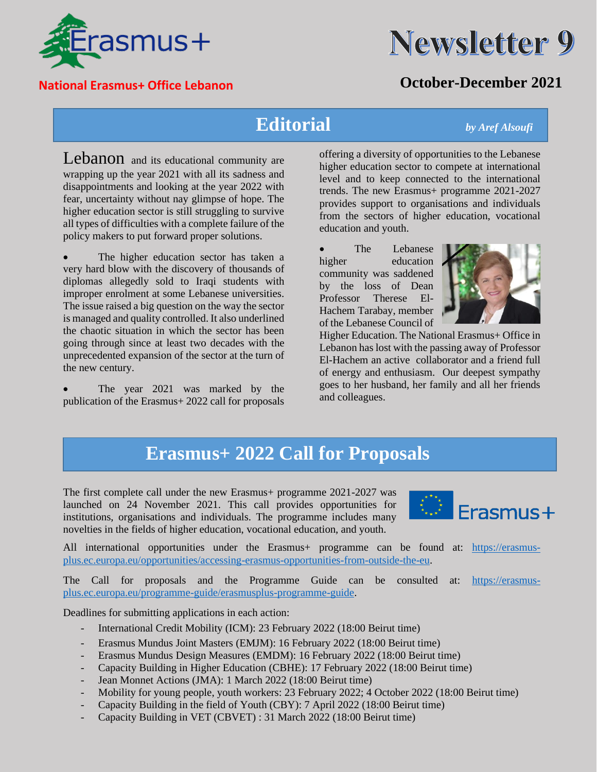



### **National Erasmus+ Office Lebanon October-December 2021**

### **Editorial** *by Aref Alsoufi*

Lebanon and its educational community are wrapping up the year 2021 with all its sadness and disappointments and looking at the year 2022 with fear, uncertainty without nay glimpse of hope. The higher education sector is still struggling to survive all types of difficulties with a complete failure of the policy makers to put forward proper solutions.

The higher education sector has taken a very hard blow with the discovery of thousands of diplomas allegedly sold to Iraqi students with improper enrolment at some Lebanese universities. The issue raised a big question on the way the sector is managed and quality controlled. It also underlined the chaotic situation in which the sector has been going through since at least two decades with the unprecedented expansion of the sector at the turn of the new century.

The year 2021 was marked by the publication of the Erasmus+ 2022 call for proposals

offering a diversity of opportunities to the Lebanese higher education sector to compete at international level and to keep connected to the international trends. The new Erasmus+ programme 2021-2027 provides support to organisations and individuals from the sectors of higher education, vocational education and youth.

The Lebanese higher education community was saddened by the loss of Dean Professor Therese El-Hachem Tarabay, member of the Lebanese Council of



Higher Education. The National Erasmus+ Office in Lebanon has lost with the passing away of Professor El-Hachem an active collaborator and a friend full of energy and enthusiasm. Our deepest sympathy goes to her husband, her family and all her friends and colleagues.

## **Erasmus+ 2022 Call for Proposals**

The first complete call under the new Erasmus+ programme 2021-2027 was launched on 24 November 2021. This call provides opportunities for institutions, organisations and individuals. The programme includes many novelties in the fields of higher education, vocational education, and youth.



All international opportunities under the Erasmus+ programme can be found at: [https://erasmus](https://erasmus-plus.ec.europa.eu/opportunities/accessing-erasmus-opportunities-from-outside-the-eu)[plus.ec.europa.eu/opportunities/accessing-erasmus-opportunities-from-outside-the-eu.](https://erasmus-plus.ec.europa.eu/opportunities/accessing-erasmus-opportunities-from-outside-the-eu)

The Call for proposals and the Programme Guide can be consulted at: [https://erasmus](https://erasmus-plus.ec.europa.eu/programme-guide/erasmusplus-programme-guide)[plus.ec.europa.eu/programme-guide/erasmusplus-programme-guide.](https://erasmus-plus.ec.europa.eu/programme-guide/erasmusplus-programme-guide)

Deadlines for submitting applications in each action:

- International Credit Mobility (ICM): 23 February 2022 (18:00 Beirut time)
- Erasmus Mundus Joint Masters (EMJM): 16 February 2022 (18:00 Beirut time)
- Erasmus Mundus Design Measures (EMDM): 16 February 2022 (18:00 Beirut time)
- Capacity Building in Higher Education (CBHE): 17 February 2022 (18:00 Beirut time)
- Jean Monnet Actions (JMA): 1 March 2022 (18:00 Beirut time)
- Mobility for young people, youth workers: 23 February 2022; 4 October 2022 (18:00 Beirut time)
- Capacity Building in the field of Youth (CBY): 7 April 2022 (18:00 Beirut time)
- Capacity Building in VET (CBVET) : 31 March 2022 (18:00 Beirut time)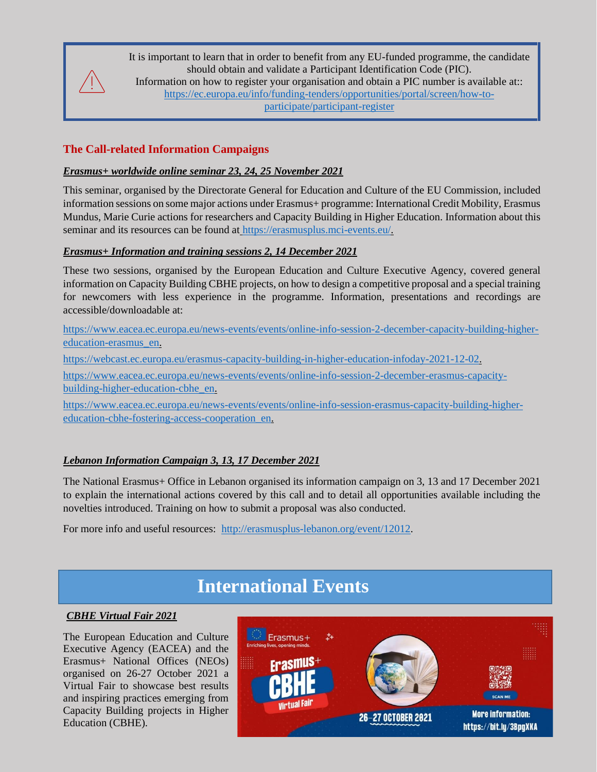It is important to learn that in order to benefit from any EU-funded programme, the candidate should obtain and validate a Participant Identification Code (PIC).

Information on how to register your organisation and obtain a PIC number is available at:: [https://ec.europa.eu/info/funding-tenders/opportunities/portal/screen/how-to](https://ec.europa.eu/info/funding-tenders/opportunities/portal/screen/how-to-participate/participant-register)[participate/participant-register](https://ec.europa.eu/info/funding-tenders/opportunities/portal/screen/how-to-participate/participant-register)

### **The Call-related Information Campaigns**

#### *Erasmus+ worldwide online seminar 23, 24, 25 November 2021*

This seminar, organised by the Directorate General for Education and Culture of the EU Commission, included information sessions on some major actions under Erasmus+ programme: International Credit Mobility, Erasmus Mundus, Marie Curie actions for researchers and Capacity Building in Higher Education. Information about this seminar and its resources can be found at [https://erasmusplus.mci-events.eu/.](https://erasmusplus.mci-events.eu/)

#### *Erasmus+ Information and training sessions 2, 14 December 2021*

These two sessions, organised by the European Education and Culture Executive Agency, covered general information on Capacity Building CBHE projects, on how to design a competitive proposal and a special training for newcomers with less experience in the programme. Information, presentations and recordings are accessible/downloadable at:

[https://www.eacea.ec.europa.eu/news-events/events/online-info-session-2-december-capacity-building-higher](https://www.eacea.ec.europa.eu/news-events/events/online-info-session-2-december-capacity-building-higher-education-erasmus_en)[education-erasmus\\_en.](https://www.eacea.ec.europa.eu/news-events/events/online-info-session-2-december-capacity-building-higher-education-erasmus_en)

[https://webcast.ec.europa.eu/erasmus-capacity-building-in-higher-education-infoday-2021-12-02.](https://webcast.ec.europa.eu/erasmus-capacity-building-in-higher-education-infoday-2021-12-02)

[https://www.eacea.ec.europa.eu/news-events/events/online-info-session-2-december-erasmus-capacity](https://www.eacea.ec.europa.eu/news-events/events/online-info-session-2-december-erasmus-capacity-building-higher-education-cbhe_en)[building-higher-education-cbhe\\_en.](https://www.eacea.ec.europa.eu/news-events/events/online-info-session-2-december-erasmus-capacity-building-higher-education-cbhe_en)

[https://www.eacea.ec.europa.eu/news-events/events/online-info-session-erasmus-capacity-building-higher](https://www.eacea.ec.europa.eu/news-events/events/online-info-session-erasmus-capacity-building-higher-education-cbhe-fostering-access-cooperation_en)[education-cbhe-fostering-access-cooperation\\_en.](https://www.eacea.ec.europa.eu/news-events/events/online-info-session-erasmus-capacity-building-higher-education-cbhe-fostering-access-cooperation_en)

### *Lebanon Information Campaign 3, 13, 17 December 2021*

The National Erasmus+ Office in Lebanon organised its information campaign on 3, 13 and 17 December 2021 to explain the international actions covered by this call and to detail all opportunities available including the novelties introduced. Training on how to submit a proposal was also conducted.

For more info and useful resources: [http://erasmusplus-lebanon.org/event/12012.](http://erasmusplus-lebanon.org/event/12012)

### **International Events**

#### *CBHE Virtual Fair 2021*

The European Education and Culture Executive Agency (EACEA) and the Erasmus+ National Offices (NEOs) organised on 26-27 October 2021 a Virtual Fair to showcase best results and inspiring practices emerging from Capacity Building projects in Higher Education (CBHE).

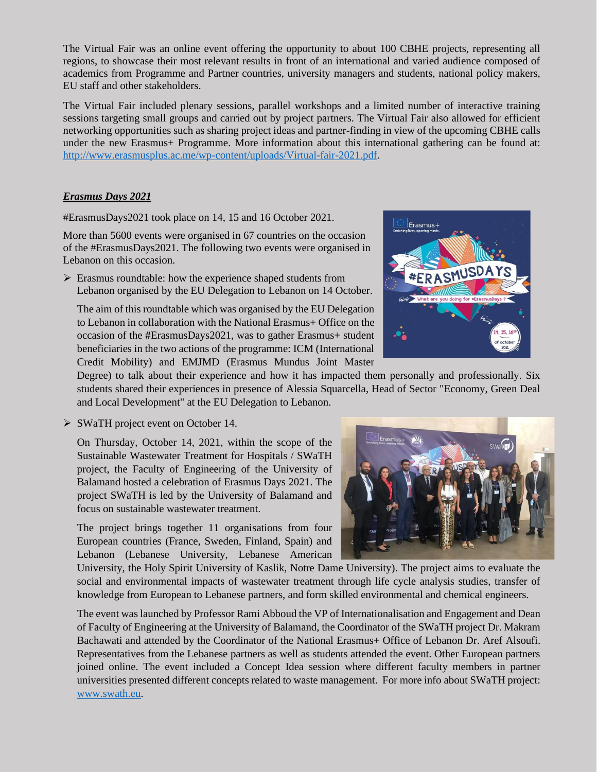The Virtual Fair was an online event offering the opportunity to about 100 CBHE projects, representing all regions, to showcase their most relevant results in front of an international and varied audience composed of academics from Programme and Partner countries, university managers and students, national policy makers, EU staff and other stakeholders.

The Virtual Fair included plenary sessions, parallel workshops and a limited number of interactive training sessions targeting small groups and carried out by project partners. The Virtual Fair also allowed for efficient networking opportunities such as sharing project ideas and partner-finding in view of the upcoming CBHE calls under the new Erasmus+ Programme. More information about this international gathering can be found at: [http://www.erasmusplus.ac.me/wp-content/uploads/Virtual-fair-2021.pdf.](http://www.erasmusplus.ac.me/wp-content/uploads/Virtual-fair-2021.pdf)

#### *Erasmus Days 2021*

#ErasmusDays2021 took place on 14, 15 and 16 October 2021.

More than 5600 events were organised in 67 countries on the occasion of the #ErasmusDays2021. The following two events were organised in Lebanon on this occasion.

➢ Erasmus roundtable: how the experience shaped students from Lebanon organised by the EU Delegation to Lebanon on 14 October.

The aim of this roundtable which was organised by the EU Delegation to Lebanon in collaboration with the National Erasmus+ Office on the occasion of the #ErasmusDays2021, was to gather Erasmus+ student beneficiaries in the two actions of the programme: ICM (International Credit Mobility) and EMJMD (Erasmus Mundus Joint Master



Degree) to talk about their experience and how it has impacted them personally and professionally. Six students shared their experiences in presence of Alessia Squarcella, Head of Sector "Economy, Green Deal and Local Development" at the EU Delegation to Lebanon.

➢ SWaTH project event on October 14.

On Thursday, October 14, 2021, within the scope of the Sustainable Wastewater Treatment for Hospitals / SWaTH project, the Faculty of Engineering of the University of Balamand hosted a celebration of Erasmus Days 2021. The project SWaTH is led by the University of Balamand and focus on sustainable wastewater treatment.

The project brings together 11 organisations from four European countries (France, Sweden, Finland, Spain) and Lebanon (Lebanese University, Lebanese American



University, the Holy Spirit University of Kaslik, Notre Dame University). The project aims to evaluate the social and environmental impacts of wastewater treatment through life cycle analysis studies, transfer of knowledge from European to Lebanese partners, and form skilled environmental and chemical engineers.

The event was launched by Professor Rami Abboud the VP of Internationalisation and Engagement and Dean of Faculty of Engineering at the University of Balamand, the Coordinator of the SWaTH project Dr. Makram Bachawati and attended by the Coordinator of the National Erasmus+ Office of Lebanon Dr. Aref Alsoufi. Representatives from the Lebanese partners as well as students attended the event. Other European partners joined online. The event included a Concept Idea session where different faculty members in partner universities presented different concepts related to waste management. For more info about SWaTH project: [www.swath.eu.](http://www.swath.eu/)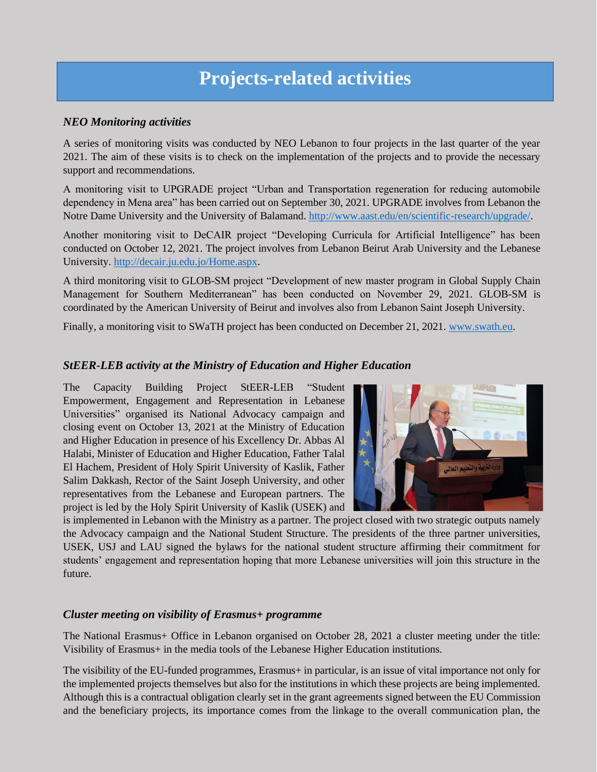# **Projects-related activities**

#### *NEO Monitoring activities*

A series of monitoring visits was conducted by NEO Lebanon to four projects in the last quarter of the year 2021. The aim of these visits is to check on the implementation of the projects and to provide the necessary support and recommendations.

A monitoring visit to UPGRADE project "Urban and Transportation regeneration for reducing automobile dependency in Mena area" has been carried out on September 30, 2021. UPGRADE involves from Lebanon the Notre Dame University and the University of Balamand. [http://www.aast.edu/en/scientific-research/upgrade/.](http://www.aast.edu/en/scientific-research/upgrade/)

Another monitoring visit to DeCAIR project "Developing Curricula for Artificial Intelligence" has been conducted on October 12, 2021. The project involves from Lebanon Beirut Arab University and the Lebanese University. [http://decair.ju.edu.jo/Home.aspx.](http://decair.ju.edu.jo/Home.aspx)

A third monitoring visit to GLOB-SM project "Development of new master program in Global Supply Chain Management for Southern Mediterranean" has been conducted on November 29, 2021. GLOB-SM is coordinated by the American University of Beirut and involves also from Lebanon Saint Joseph University.

Finally, a monitoring visit to SWaTH project has been conducted on December 21, 2021. [www.swath.eu.](http://www.swath.eu/)

#### *StEER-LEB activity at the Ministry of Education and Higher Education*

The Capacity Building Project StEER-LEB "Student Empowerment, Engagement and Representation in Lebanese Universities" organised its National Advocacy campaign and closing event on October 13, 2021 at the Ministry of Education and Higher Education in presence of his Excellency Dr. Abbas Al Halabi, Minister of Education and Higher Education, Father Talal El Hachem, President of Holy Spirit University of Kaslik, Father Salim Dakkash, Rector of the Saint Joseph University, and other representatives from the Lebanese and European partners. The project is led by the Holy Spirit University of Kaslik (USEK) and



is implemented in Lebanon with the Ministry as a partner. The project closed with two strategic outputs namely the Advocacy campaign and the National Student Structure. The presidents of the three partner universities, USEK, USJ and LAU signed the bylaws for the national student structure affirming their commitment for students' engagement and representation hoping that more Lebanese universities will join this structure in the future.

#### *Cluster meeting on visibility of Erasmus+ programme*

The National Erasmus+ Office in Lebanon organised on October 28, 2021 a cluster meeting under the title: Visibility of Erasmus+ in the media tools of the Lebanese Higher Education institutions.

The visibility of the EU-funded programmes, Erasmus+ in particular, is an issue of vital importance not only for the implemented projects themselves but also for the institutions in which these projects are being implemented. Although this is a contractual obligation clearly set in the grant agreements signed between the EU Commission and the beneficiary projects, its importance comes from the linkage to the overall communication plan, the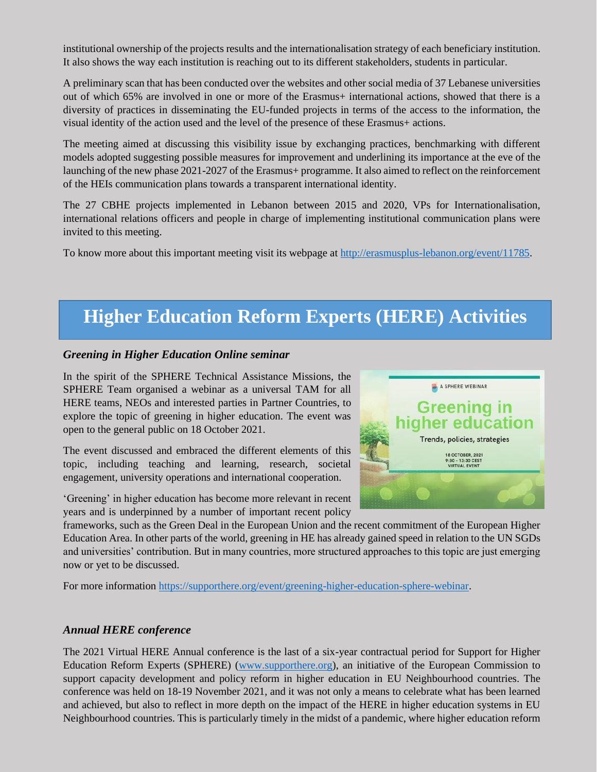institutional ownership of the projects results and the internationalisation strategy of each beneficiary institution. It also shows the way each institution is reaching out to its different stakeholders, students in particular.

A preliminary scan that has been conducted over the websites and other social media of 37 Lebanese universities out of which 65% are involved in one or more of the Erasmus+ international actions, showed that there is a diversity of practices in disseminating the EU-funded projects in terms of the access to the information, the visual identity of the action used and the level of the presence of these Erasmus+ actions.

The meeting aimed at discussing this visibility issue by exchanging practices, benchmarking with different models adopted suggesting possible measures for improvement and underlining its importance at the eve of the launching of the new phase 2021-2027 of the Erasmus+ programme. It also aimed to reflect on the reinforcement of the HEIs communication plans towards a transparent international identity.

The 27 CBHE projects implemented in Lebanon between 2015 and 2020, VPs for Internationalisation, international relations officers and people in charge of implementing institutional communication plans were invited to this meeting.

To know more about this important meeting visit its webpage at [http://erasmusplus-lebanon.org/event/11785.](http://erasmusplus-lebanon.org/event/11785)

# **Higher Education Reform Experts (HERE) Activities**

#### *Greening in Higher Education Online seminar*

In the spirit of the SPHERE Technical Assistance Missions, the SPHERE Team organised a webinar as a universal TAM for all HERE teams, NEOs and interested parties in Partner Countries, to explore the topic of greening in higher education. The event was open to the general public on 18 October 2021.

The event discussed and embraced the different elements of this topic, including teaching and learning, research, societal engagement, university operations and international cooperation.

'Greening' in higher education has become more relevant in recent years and is underpinned by a number of important recent policy



frameworks, such as the Green Deal in the European Union and the recent commitment of the European Higher Education Area. In other parts of the world, greening in HE has already gained speed in relation to the UN SGDs and universities' contribution. But in many countries, more structured approaches to this topic are just emerging now or yet to be discussed.

For more information [https://supporthere.org/event/greening-higher-education-sphere-webinar.](https://supporthere.org/event/greening-higher-education-sphere-webinar)

### *Annual HERE conference*

The 2021 Virtual HERE Annual conference is the last of a six-year contractual period for Support for Higher Education Reform Experts (SPHERE) [\(www.supporthere.org\)](http://www.supporthere.org/), an initiative of the European Commission to support capacity development and policy reform in higher education in EU Neighbourhood countries. The conference was held on 18-19 November 2021, and it was not only a means to celebrate what has been learned and achieved, but also to reflect in more depth on the impact of the HERE in higher education systems in EU Neighbourhood countries. This is particularly timely in the midst of a pandemic, where higher education reform